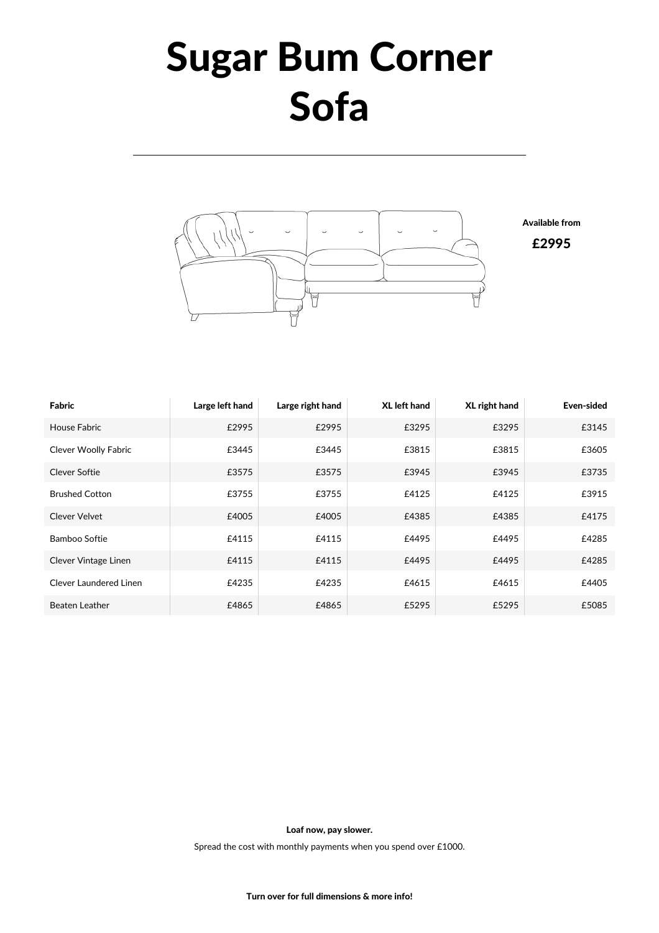## Sugar Bum Corner Sofa



Fabric **Large left hand** Large right hand XL left hand XL right hand Even-sided House Fabric £2995 £2995 £3295 £3295 £3145 Clever Woolly Fabric **E3445** E3445 **E3445** E3815 E3815 E3815 E3605 Clever Softie £3575 £3575 £3945 £3945 £3735 Brushed Cotton  $\epsilon$ 3755  $\epsilon$ 4125  $\epsilon$ 4125  $\epsilon$ 4755  $\epsilon$ 4125  $\epsilon$ 3915 Clever Velvet £4005 £4005 £4385 £4385 £4175 Bamboo Softie £4115 £4115 £4495 £4495 £4285 Clever Vintage Linen  $\epsilon$ 4115  $\epsilon$ 4115  $\epsilon$ 4495  $\epsilon$ 4495  $\epsilon$ 4495  $\epsilon$ 4495  $\epsilon$ 4285  $\text{Clever}$  Laundered Linen  $\text{E4235}$   $\text{E4235}$   $\text{E4435}$   $\text{E4405}$ Beaten Leather £4865 £4865 £5295 £5295 £5085

Loaf now, pay slower.

Spread the cost with monthly payments when you spend over £1000.